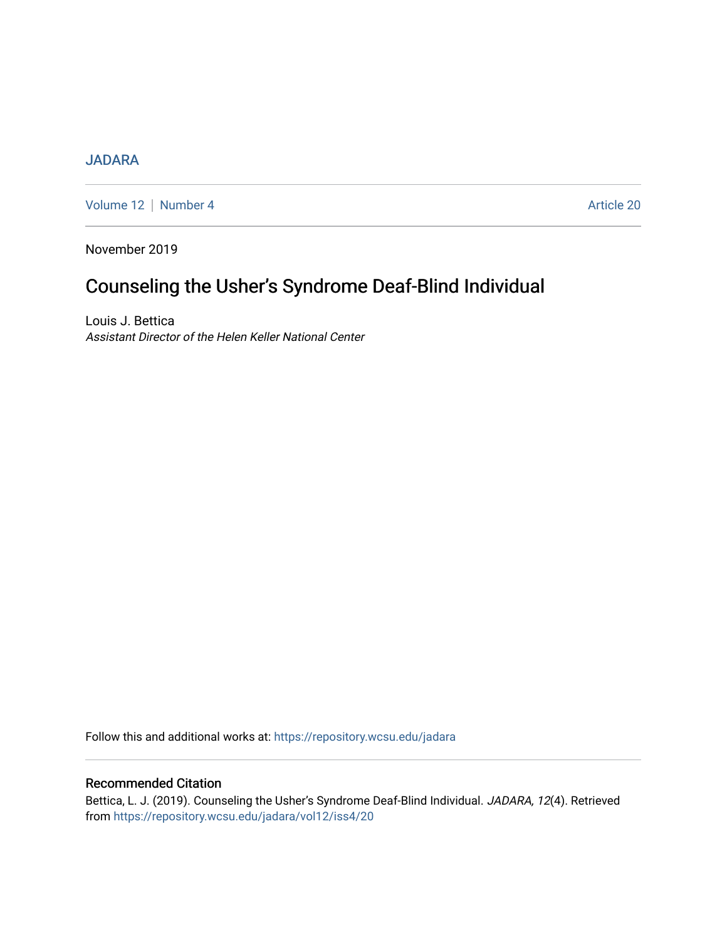# [JADARA](https://repository.wcsu.edu/jadara)

[Volume 12](https://repository.wcsu.edu/jadara/vol12) | [Number 4](https://repository.wcsu.edu/jadara/vol12/iss4) Article 20

November 2019

# Counseling the Usher's Syndrome Deaf-Blind Individual

Louis J. Bettica Assistant Director of the Helen Keller National Center

Follow this and additional works at: [https://repository.wcsu.edu/jadara](https://repository.wcsu.edu/jadara?utm_source=repository.wcsu.edu%2Fjadara%2Fvol12%2Fiss4%2F20&utm_medium=PDF&utm_campaign=PDFCoverPages)

# Recommended Citation

Bettica, L. J. (2019). Counseling the Usher's Syndrome Deaf-Blind Individual. JADARA, 12(4). Retrieved from [https://repository.wcsu.edu/jadara/vol12/iss4/20](https://repository.wcsu.edu/jadara/vol12/iss4/20?utm_source=repository.wcsu.edu%2Fjadara%2Fvol12%2Fiss4%2F20&utm_medium=PDF&utm_campaign=PDFCoverPages)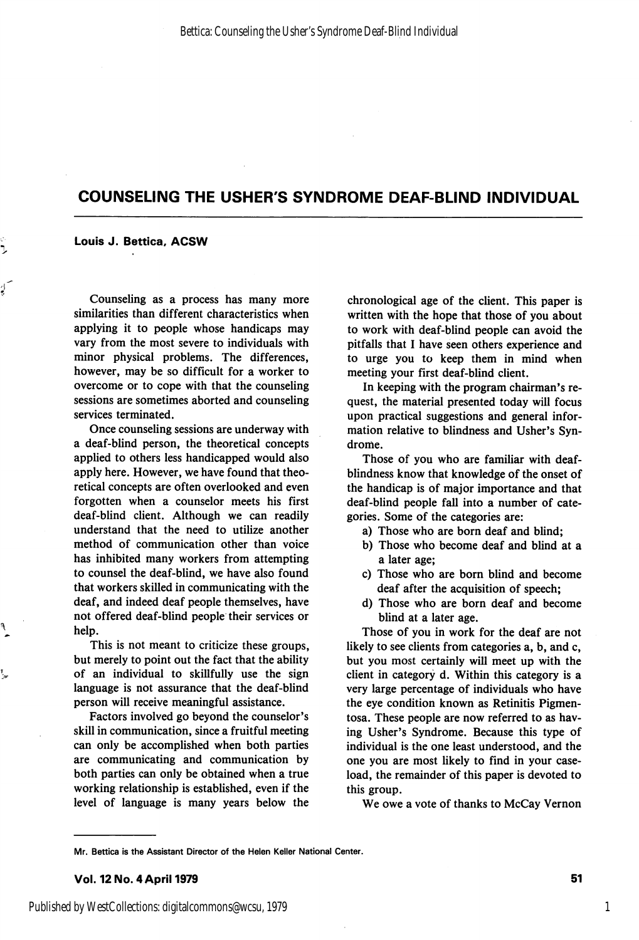#### Louis J. Bettica, ACSW

Counseling as a process has many more similarities than different characteristics when applying it to people whose handicaps may vary from the most severe to individuals with minor physical problems. The differences, however, may be so difficult for a worker to overcome or to cope with that the counseling sessions are sometimes aborted and counseling services terminated.

Once counseling sessions are underway with a deaf-blind person, the theoretical concepts applied to others less handicapped would also apply here. However, we have found that theo retical concepts are often overlooked and even forgotten when a counselor meets his first deaf-blind client. Although we can readily understand that the need to utilize another method of communication other than voice has inhibited many workers from attempting to counsel the deaf-blind, we have also found that workers skilled in communicating with the deaf, and indeed deaf people themselves, have not offered deaf-blind people their services or help.

This is not meant to criticize these groups, but merely to point out the fact that the ability of an individual to skillfully use the sign language is not assurance that the deaf-blind person will receive meaningful assistance.

Factors involved go beyond the counselor's skill in communication, since a fruitful meeting can only be accomplished when both parties are communicating and communication by both parties can only be obtained when a true working relationship is established, even if the level of language is many years below the chronological age of the client. This paper is written with the hope that those of you about to work with deaf-blind people can avoid the pitfalls that I have seen others experience and to urge you to keep them in mind when meeting your first deaf-blind client.

In keeping with the program chairman's re quest, the material presented today will focus upon practical suggestions and general infor mation relative to blindness and Usher's Syn drome.

Those of you who are familiar with deafblindness know that knowledge of the onset of the handicap is of major importance and that deaf-blind people fall into a number of cate gories. Some of the categories are:

- a) Those who are born deaf and blind;
- b) Those who become deaf and blind at a a later age;
- c) Those who are born blind and become deaf after the acquisition of speech;
- d) Those who are born deaf and become blind at a later age.

Those of you in work for the deaf are not likely to see clients from categories a, b, and c, but you most certainly will meet up with the client in category d. Within this category is a very large percentage of individuals who have the eye condition known as Retinitis Pigmentosa. These people are now referred to as hav ing Usher's Syndrome. Because this type of individual is the one least understood, and the one you are most likely to find in your case load, the remainder of this paper is devoted to this group.

We owe a vote of thanks to McCay Vernon

Mr. Bettica is the Assistant Director of the Helen Keller National Center.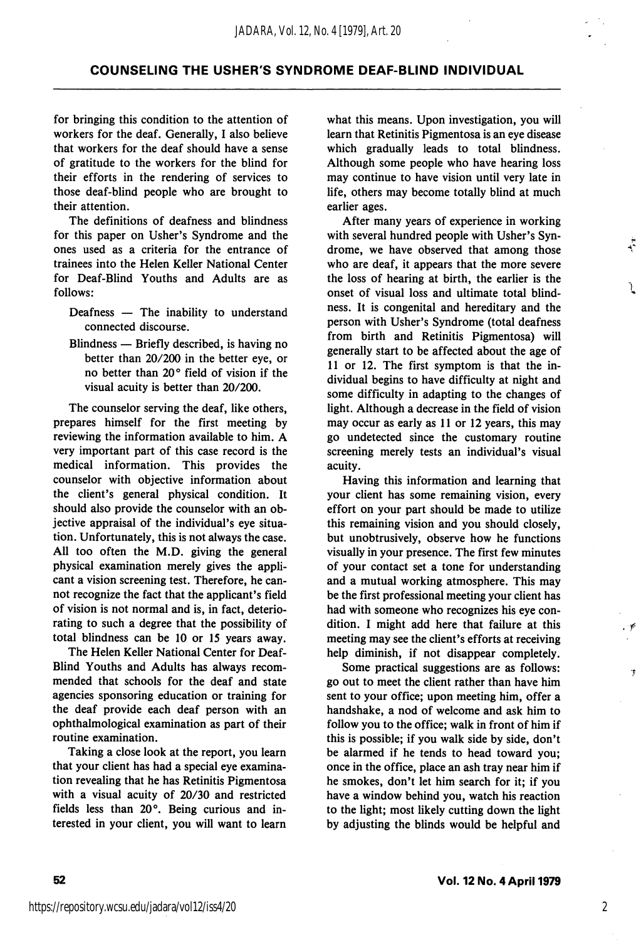for bringing this condition to the attention of workers for the deaf. Generally, I also believe that workers for the deaf should have a sense of gratitude to the workers for the blind for their efforts in the rendering of services to those deaf-blind people who are brought to their attention.

The definitions of deafness and blindness for this paper on Usher's Syndrome and the ones used as a criteria for the entrance of trainees into the Helen Keller National Center for Deaf-Blind Youths and Adults are as follows:

- Deafness The inability to understand connected discourse.
- Blindness Briefly described, is having no better than 20/200 in the better eye, or no better than 20° field of vision if the visual acuity is better than 20/200.

The counselor serving the deaf, like others, prepares himself for the first meeting by reviewing the information available to him. A very important part of this case record is the medical information. This provides the counselor with objective information about the client's general physical condition. It should also provide the counselor with an ob jective appraisal of the individual's eye situa tion. Unfortunately, this is not always the case. All too often the M.D. giving the general physical examination merely gives the appli cant a vision screening test. Therefore, he can not recognize the fact that the applicant's field of vision is not normal and is, in fact, deterio rating to such a degree that the possibility of total blindness can be 10 or 15 years away.

The Helen Keller National Center for Deaf-Blind Youths and Adults has always recom mended that schools for the deaf and state agencies sponsoring education or training for the deaf provide each deaf person with an ophthalmological examination as part of their routine examination.

Taking a close look at the report, you learn that your client has had a special eye examina tion revealing that he has Retinitis Pigmentosa with a visual acuity of 20/30 and restricted fields less than 20°. Being curious and in terested in your client, you will want to learn

what this means. Upon investigation, you will learn that Retinitis Pigmentosa is an eye disease which gradually leads to total blindness. Although some people who have hearing loss may continue to have vision until very late in life, others may become totally blind at much earlier ages.

After many years of experience in working with several hundred people with Usher's Syn drome, we have observed that among those who are deaf, it appears that the more severe the loss of hearing at birth, the earlier is the onset of visual loss and ultimate total blind ness. It is congenital and hereditary and the person with Usher's Syndrome (total deafness from birth and Retinitis Pigmentosa) will generally start to be affected about the age of 11 or 12. The first symptom is that the in dividual begins to have difficulty at night and some difficulty in adapting to the changes of light. Although a decrease in the field of vision may occur as early as 11 or 12 years, this may go undetected since the customary routine screening merely tests an individual's visual acuity.

Having this information and learning that your client has some remaining vision, every effort on your part should be made to utilize this remaining vision and you should closely, but unobtrusively, observe how he functions visually in your presence. The first few minutes of your contact set a tone for understanding and a mutual working atmosphere. This may be the first professional meeting your client has had with someone who recognizes his eye con dition. I might add here that failure at this meeting may see the client's efforts at receiving help diminish, if not disappear completely.

Some practical suggestions are as follows: go out to meet the client rather than have him sent to your office; upon meeting him, offer a handshake, a nod of welcome and ask him to follow you to the office; walk in front of him if this is possible; if you walk side by side, don't be alarmed if he tends to head toward you; once in the office, place an ash tray near him if he smokes, don't let him search for it; if you have a window behind you, watch his reaction to the light; most likely cutting down the light by adjusting the blinds would be helpful and

2

٦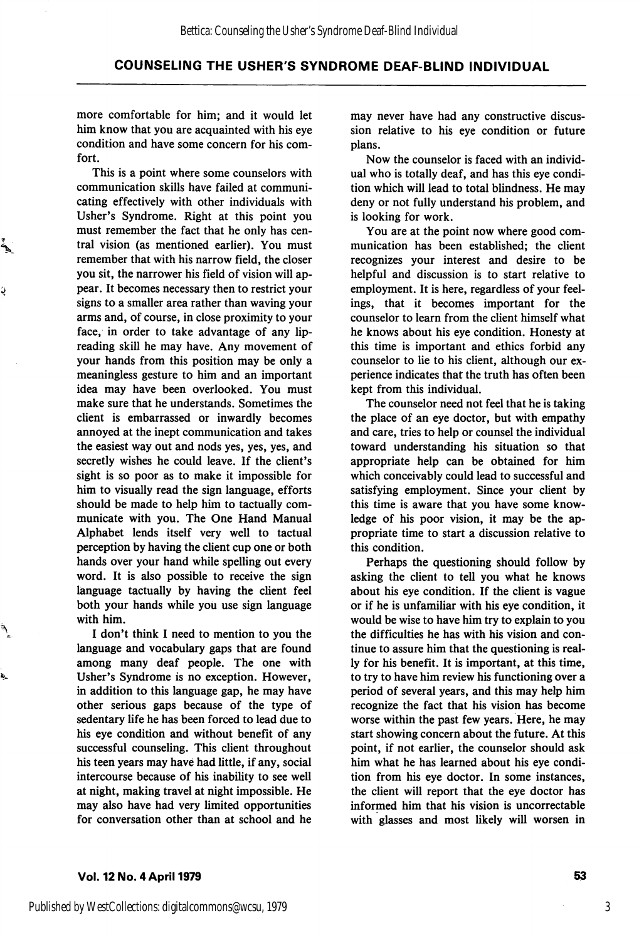more comfortable for him; and it would let him know that you are acquainted with his eye condition and have some concern for his com fort.

This is a point where some counselors with communication skills have failed at communi cating effectively with other individuals with Usher's Syndrome. Right at this point you must remember the fact that he only has cen tral vision (as mentioned earlier). You must remember that with his narrow field, the closer you sit, the narrower his field of vision will ap pear. It becomes necessary then to restrict your signs to a smaller area rather than waving your arms and, of course, in close proximity to your face, in order to take advantage of any lipreading skill he may have. Any movement of your hands from this position may be only a meaningless gesture to him and an important idea may have been overlooked. You must make sure that he understands. Sometimes the client is embarrassed or inwardly becomes annoyed at the inept communication and takes the easiest way out and nods yes, yes, yes, and secretly wishes he could leave. If the client's sight is so poor as to make it impossible for him to visually read the sign language, efforts should be made to help him to tactually com municate with you. The One Hand Manual Alphabet lends itself very well to tactual perception by having the client cup one or both hands over your hand while spelling out every word. It is also possible to receive the sign language tactually by having the client feel both your hands while you use sign language with him.

ړ

b,

I don't think I need to mention to you the language and vocabulary gaps that are found among many deaf people. The one with Usher's Syndrome is no exception. However, in addition to this language gap, he may have other serious gaps because of the type of sedentary life he has been forced to lead due to his eye condition and without benefit of any successful counseling. This client throughout his teen years may have had little, if any, social intercourse because of his inability to see well at night, making travel at night impossible. He may also have had very limited opportunities for conversation other than at school and he may never have had any constructive discus sion relative to his eye condition or future plans.

Now the counselor is faced with an individ ual who is totally deaf, and has this eye condi tion which will lead to total blindness. He may deny or not fully understand his problem, and is looking for work.

You are at the point now where good com munication has been established; the client recognizes your interest and desire to be helpful and discussion is to start relative to employment. It is here, regardless of your feel ings, that it becomes important for the counselor to learn from the client himself what he knows about his eye condition. Honesty at this time is important and ethics forbid any counselor to lie to his client, although our ex perience indicates that the truth has often been kept from this individual.

The counselor need not feel that he is taking the place of an eye doctor, but with empathy and care, tries to help or counsel the individual toward understanding his situation so that appropriate help can be obtained for him which conceivably could lead to successful and satisfying employment. Since your client by this time is aware that you have some know ledge of his poor vision, it may be the ap propriate time to start a discussion relative to this condition.

Perhaps the questioning should follow by asking the client to tell you what he knows about his eye condition. If the client is vague or if he is unfamiliar with his eye condition, it would be wise to have him try to explain to you the difficulties he has with his vision and con tinue to assure him that the questioning is real ly for his benefit. It is important, at this time, to try to have him review his functioning over a period of several years, and this may help him recognize the fact that his vision has become worse within the past few years. Here, he may start showing concern about the future. At this point, if not earlier, the counselor should ask him what he has learned about his eye condi tion from his eye doctor. In some instances, the client will report that the eye doctor has informed him that his vision is uncorrectable with glasses and most likely will worsen in

#### Vol. 12No.4April1979 53

3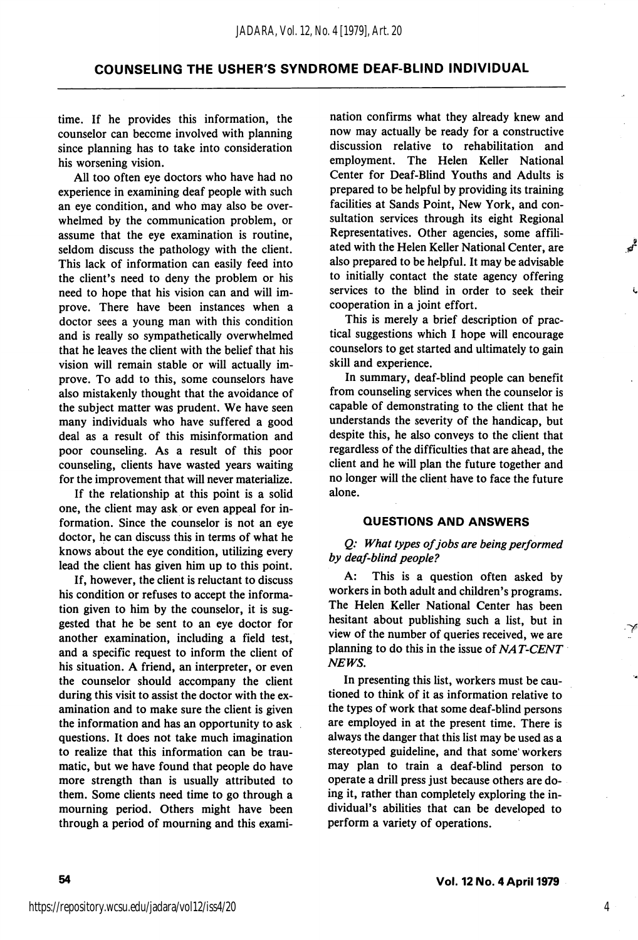time. If he provides this information, the counselor can become involved with planning since planning has to take into consideration his worsening vision.

All too often eye doctors who have had no experience in examining deaf people with such an eye condition, and who may also be over whelmed by the communication problem, or assume that the eye examination is routine, seldom discuss the pathology with the client. This lack of information can easily feed into the client's need to deny the problem or his need to hope that his vision can and will im prove. There have been instances when a doctor sees a young man with this condition and is really so sympathetically overwhelmed that he leaves the client with the belief that his vision will remain stable or will actually im prove. To add to this, some counselors have also mistakenly thought that the avoidance of the subject matter was prudent. We have seen many individuals who have suffered a good deal as a result of this misinformation and poor counseling. As a result of this poor counseling, clients have wasted years waiting for the improvement that will never materialize.

If the relationship at this point is a solid one, the client may ask or even appeal for in formation. Since the counselor is not an eye doctor, he can discuss this in terms of what he knows about the eye condition, utilizing every lead the client has given him up to this point.

If, however, the client is reluctant to discuss his condition or refuses to accept the informa tion given to him by the counselor, it is sug gested that he be sent to an eye doctor for another examination, including a field test, and a specific request to inform the client of his situation. A friend, an interpreter, or even the counselor should accompany the client during this visit to assist the doctor with the ex amination and to make sure the client is given the information and has an opportunity to ask questions. It does not take much imagination to realize that this information can be trau matic, but we have found that people do have more strength than is usually attributed to them. Some clients need time to go through a mourning period. Others might have been through a period of mourning and this exami

nation confirms what they already knew and now may actually be ready for a constructive discussion relative to rehabilitation and employment. The Helen Keller National Center for Deaf-Blind Youths and Adults is prepared to be helpful by providing its training facilities at Sands Point, New York, and con sultation services through its eight Regional Representatives. Other agencies, some affili ated with the Helen Keller National Center, are also prepared to be helpful. It may be advisable to initially contact the state agency offering services to the blind in order to seek their cooperation in a joint effort.

This is merely a brief description of prac tical suggestions which I hope will encourage counselors to get started and ultimately to gain skill and experience.

In summary, deaf-blind people can benefit from counseling services when the counselor is capable of demonstrating to the client that he understands the severity of the handicap, but despite this, he also conveys to the client that regardless of the difficulties that are ahead, the client and he will plan the future together and no longer will the client have to face the future alone.

#### QUESTIONS AND ANSWERS

Q: What types of jobs are being performed by deaf-blind people?

A: This is a question often asked by workers in both adult and children's programs. The Helen Keller National Center has been hesitant about publishing such a list, but in view of the number of queries received, we are planning to do this in the issue of NA T-CENT NEWS.

In presenting this list, workers must be cau tioned to think of it as information relative to the types of work that some deaf-blind persons are employed in at the present time. There is always the danger that this list may be used as a stereotyped guideline, and that some' workers may plan to train a deaf-blind person to operate a drill press just because others are do ing it, rather than completely exploring the in dividual's abilities that can be developed to perform a variety of operations.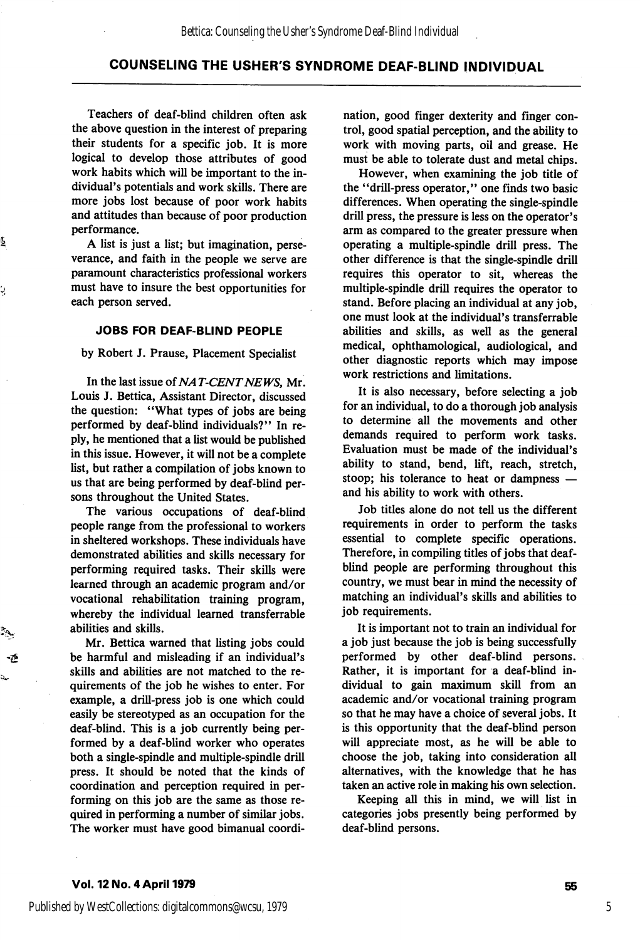Teachers of deaf-blind children often ask the above question in the interest of preparing their students for a specific job. It is more logical to develop those attributes of good work habits which will be important to the in dividual's potentials and work skills. There are more jobs lost because of poor work habits and attitudes than because of poor production performance.

A list is just a list; but imagination, perse verance, and faith in the people we serve are paramount characteristics professional workers must have to insure the best opportunities for each person served.

ß

#### JOBS FOR DEAF-BUND PEOPLE

by Robert J. Prause, Placement Specialist

In the last issue of NAT-CENTNEWS, Mr. Louis J. Bettica, Assistant Director, discussed the question: "What types of jobs are being performed by deaf-blind individuals?" In re ply, he mentioned that a list would be published in this issue. However, it will not be a complete list, but rather a compilation of jobs known to us that are being performed by deaf-blind per sons throughout the United States.

The various occupations of deaf-blind people range from the professional to workers in sheltered workshops. These individuals have demonstrated abilities and skills necessary for performing required tasks. Their skills were learned through an academic program and/or vocational rehabilitation training program, whereby the individual learned transferrable abilities and skills.

Mr. Bettica warned that listing jobs could be harmful and misleading if an individual's skills and abilities are not matched to the requirements of the job he wishes to enter. For example, a drill-press job is one which could easily be stereotyped as an occupation for the deaf-blind. This is a job currently being per formed by a deaf-blind worker who operates both a single-spindle and multiple-spindle drill press. It should be noted that the kinds of coordination and perception required in per forming on this job are the same as those re quired in performing a number of similar jobs. The worker must have good bimanual coordi nation, good finger dexterity and finger con trol, good spatial perception, and the ability to work with moving parts, oil and grease. He must be able to tolerate dust and metal chips.

However, when examining the job title of the "drill-press operator," one finds two basic differences. When operating the single-spindle drill press, the pressure is less on the operator's arm as compared to the greater pressure when operating a multiple-spindle drill press. The other difference is that the single-spindle drill requires this operator to sit, whereas the multiple-spindle drill requires the operator to stand. Before placing an individual at any job, one must look at the individual's transferrable abilities and skills, as well as the general medical, ophthamological, audiological, and other diagnostic reports which may impose work restrictions and limitations.

It is also necessary, before selecting a job for an individual, to do a thorough job analysis to determine all the movements and other demands required to perform work tasks. Evaluation must be made of the individual's ability to stand, bend, lift, reach, stretch, stoop; his tolerance to heat or dampness and his ability to work with others.

Job titles alone do not tell us the different requirements in order to perform the tasks essential to complete specific operations. Therefore, in compiling titles of jobs that deafblind people are performing throughout this country, we must bear in mind the necessity of matching an individual's skills and abilities to job requirements.

It is important not to train an individual for a job just because the job is being successfully performed by other deaf-blind persons. Rather, it is important for a deaf-blind in dividual to gain maximum skill from an academic and/or vocational training program so that he may have a choice of several jobs. It is this opportunity that the deaf-blind person will appreciate most, as he will be able to choose the job, taking into consideration all alternatives, with the knowledge that he has taken an active role in making his own selection.

Keeping all this in mind, we will list in categories jobs presently being performed by deaf-blind persons.

#### Vol. 12 No. 4 April 1979 55

5